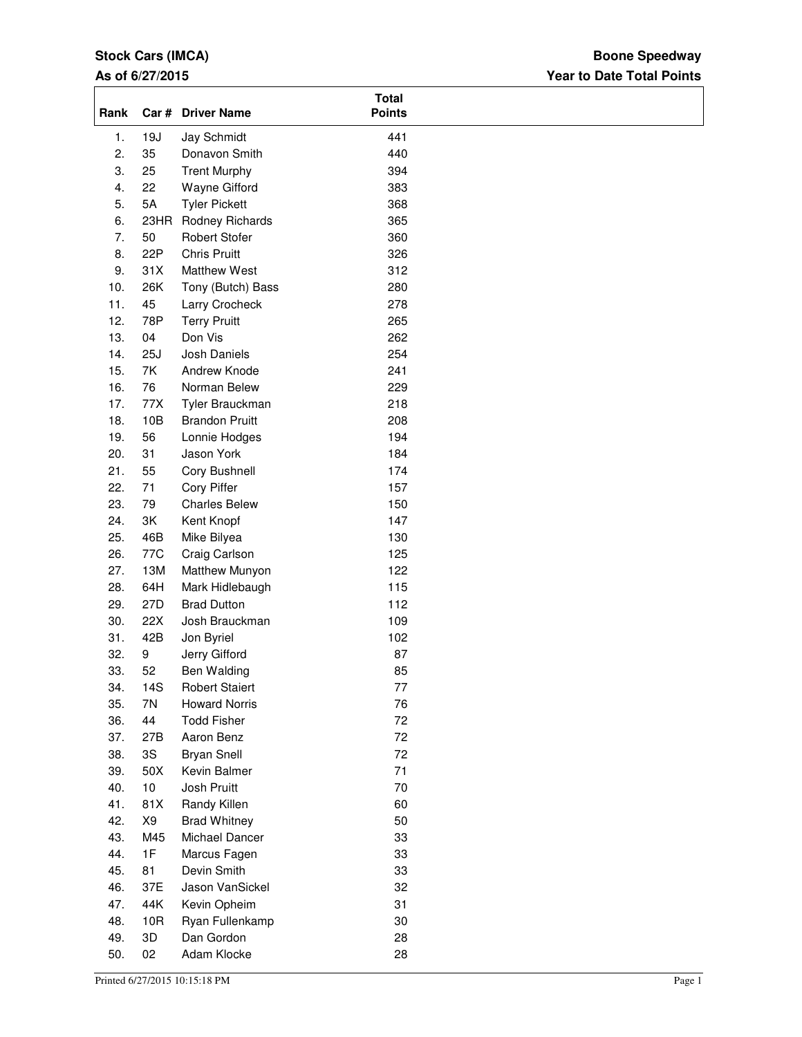# **Stock Cars (IMCA)**

# **As of 6/27/2015**

# **Year to Date Total Points Boone Speedway**

| Rank |      | Car # Driver Name     | <b>Total</b><br><b>Points</b> |
|------|------|-----------------------|-------------------------------|
| 1.   | 19J  | Jay Schmidt           | 441                           |
| 2.   | 35   | Donavon Smith         | 440                           |
| 3.   | 25   | <b>Trent Murphy</b>   | 394                           |
| 4.   | 22   | Wayne Gifford         | 383                           |
| 5.   | 5A   | <b>Tyler Pickett</b>  | 368                           |
| 6.   | 23HR | Rodney Richards       | 365                           |
| 7.   | 50   | <b>Robert Stofer</b>  | 360                           |
| 8.   | 22P  | <b>Chris Pruitt</b>   | 326                           |
| 9.   | 31X  | <b>Matthew West</b>   | 312                           |
| 10.  | 26K  | Tony (Butch) Bass     | 280                           |
| 11.  | 45   | Larry Crocheck        | 278                           |
| 12.  | 78P  | <b>Terry Pruitt</b>   | 265                           |
| 13.  | 04   | Don Vis               | 262                           |
| 14.  | 25J  |                       | 254                           |
|      |      | Josh Daniels          |                               |
| 15.  | 7K   | Andrew Knode          | 241                           |
| 16.  | 76   | Norman Belew          | 229                           |
| 17.  | 77X  | Tyler Brauckman       | 218                           |
| 18.  | 10B  | <b>Brandon Pruitt</b> | 208                           |
| 19.  | 56   | Lonnie Hodges         | 194                           |
| 20.  | 31   | Jason York            | 184                           |
| 21.  | 55   | Cory Bushnell         | 174                           |
| 22.  | 71   | <b>Cory Piffer</b>    | 157                           |
| 23.  | 79   | <b>Charles Belew</b>  | 150                           |
| 24.  | 3K   | Kent Knopf            | 147                           |
| 25.  | 46B  | Mike Bilyea           | 130                           |
| 26.  | 77C  | Craig Carlson         | 125                           |
| 27.  | 13M  | Matthew Munyon        | 122                           |
| 28.  | 64H  | Mark Hidlebaugh       | 115                           |
| 29.  | 27D  | <b>Brad Dutton</b>    | 112                           |
| 30.  | 22X  | Josh Brauckman        | 109                           |
| 31.  | 42B  | Jon Byriel            | 102                           |
| 32.  | 9    | Jerry Gifford         | 87                            |
| 33.  | 52   | Ben Walding           | 85                            |
| 34.  | 14S  | <b>Robert Staiert</b> | 77                            |
| 35.  | 7N   | <b>Howard Norris</b>  | 76                            |
|      |      |                       |                               |
| 36.  | 44   | <b>Todd Fisher</b>    | 72                            |
| 37.  | 27B  | Aaron Benz            | 72                            |
| 38.  | 3S   | <b>Bryan Snell</b>    | 72                            |
| 39.  | 50X  | Kevin Balmer          | 71                            |
| 40.  | 10   | Josh Pruitt           | $70\,$                        |
| 41.  | 81X  | Randy Killen          | 60                            |
| 42.  | X9   | <b>Brad Whitney</b>   | 50                            |
| 43.  | M45  | Michael Dancer        | 33                            |
| 44.  | 1F   | Marcus Fagen          | 33                            |
| 45.  | 81   | Devin Smith           | 33                            |
| 46.  | 37E  | Jason VanSickel       | 32                            |
| 47.  | 44K  | Kevin Opheim          | 31                            |
| 48.  | 10R  | Ryan Fullenkamp       | 30                            |
| 49.  | 3D   | Dan Gordon            | 28                            |
| 50.  | 02   | Adam Klocke           | 28                            |